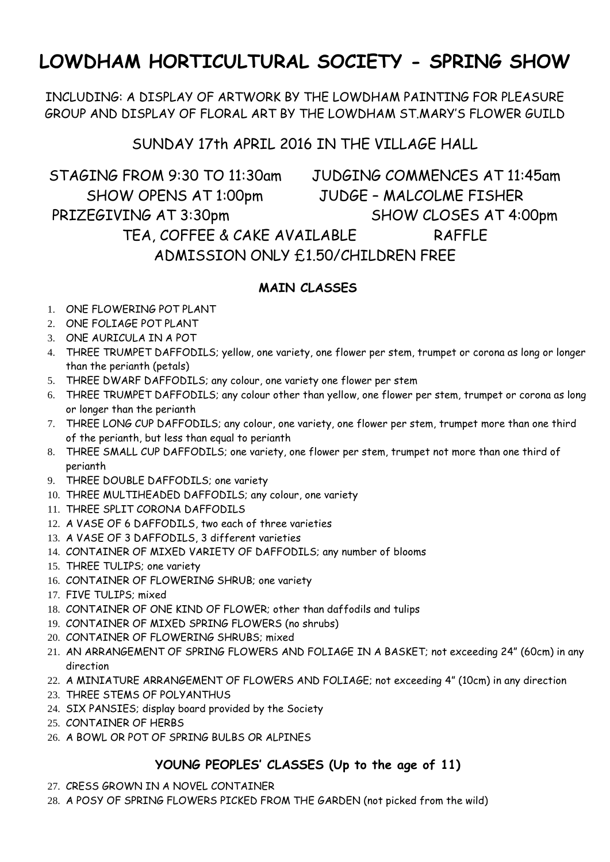# **LOWDHAM HORTICULTURAL SOCIETY - SPRING SHOW**

INCLUDING: A DISPLAY OF ARTWORK BY THE LOWDHAM PAINTING FOR PLEASURE GROUP AND DISPLAY OF FLORAL ART BY THE LOWDHAM ST.MARY'S FLOWER GUILD

## SUNDAY 17th APRIL 2016 IN THE VILLAGE HALL

STAGING FROM 9:30 TO 11:30am JUDGING COMMENCES AT 11:45am SHOW OPENS AT 1:00pm JUDGE – MALCOLME FISHER PRIZEGIVING AT 3:30pm SHOW CLOSES AT 4:00pm TEA, COFFEE & CAKE AVAILABLE RAFFLE ADMISSION ONLY £1.50/CHILDREN FREE

### **MAIN CLASSES**

- 1. ONE FLOWERING POT PLANT
- 2. ONE FOLIAGE POT PLANT
- 3. ONE AURICULA IN A POT
- 4. THREE TRUMPET DAFFODILS; yellow, one variety, one flower per stem, trumpet or corona as long or longer than the perianth (petals)
- 5. THREE DWARF DAFFODILS; any colour, one variety one flower per stem
- 6. THREE TRUMPET DAFFODILS; any colour other than yellow, one flower per stem, trumpet or corona as long or longer than the perianth
- 7. THREE LONG CUP DAFFODILS; any colour, one variety, one flower per stem, trumpet more than one third of the perianth, but less than equal to perianth
- 8. THREE SMALL CUP DAFFODILS; one variety, one flower per stem, trumpet not more than one third of perianth
- 9. THREE DOUBLE DAFFODILS; one variety
- 10. THREE MULTIHEADED DAFFODILS; any colour, one variety
- 11. THREE SPLIT CORONA DAFFODILS
- 12. A VASE OF 6 DAFFODILS, two each of three varieties
- 13. A VASE OF 3 DAFFODILS, 3 different varieties
- 14. CONTAINER OF MIXED VARIETY OF DAFFODILS; any number of blooms
- 15. THREE TULIPS; one variety
- 16. CONTAINER OF FLOWERING SHRUB; one variety
- 17. FIVE TULIPS; mixed
- 18. CONTAINER OF ONE KIND OF FLOWER; other than daffodils and tulips
- 19. CONTAINER OF MIXED SPRING FLOWERS (no shrubs)
- 20. CONTAINER OF FLOWERING SHRUBS; mixed
- 21. AN ARRANGEMENT OF SPRING FLOWERS AND FOLIAGE IN A BASKET; not exceeding 24" (60cm) in any direction
- 22. A MINIATURE ARRANGEMENT OF FLOWERS AND FOLIAGE; not exceeding 4" (10cm) in any direction
- 23. THREE STEMS OF POLYANTHUS
- 24. SIX PANSIES; display board provided by the Society
- 25. CONTAINER OF HERBS
- 26. A BOWL OR POT OF SPRING BULBS OR ALPINES

#### **YOUNG PEOPLES' CLASSES (Up to the age of 11)**

- 27. CRESS GROWN IN A NOVEL CONTAINER
- 28. A POSY OF SPRING FLOWERS PICKED FROM THE GARDEN (not picked from the wild)